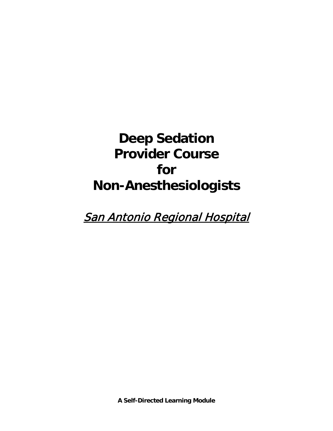# **Deep Sedation Provider Course for Non-Anesthesiologists**

San Antonio Regional Hospital

**A Self-Directed Learning Module**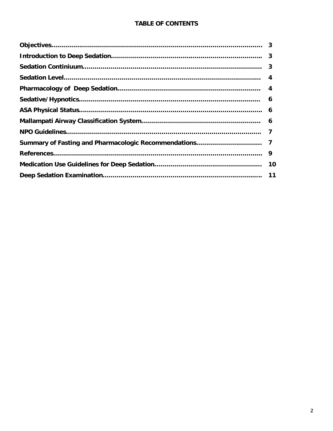#### **TABLE OF CONTENTS**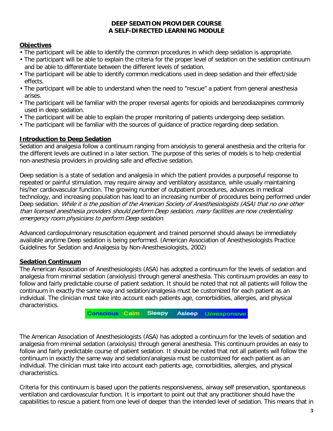#### **DEEP SEDATION PROVIDER COURSE A SELF-DIRECTED LEARNING MODULE**

#### **Objectives**

- The participant will be able to identify the common procedures in which deep sedation is appropriate.
- The participant will be able to explain the criteria for the proper level of sedation on the sedation continuum and be able to differentiate between the different levels of sedation.
- The participant will be able to identify common medications used in deep sedation and their effect/side effects.
- The participant will be able to understand when the need to "rescue" a patient from general anesthesia arises.
- The participant will be familiar with the proper reversal agents for opioids and benzodiazepines commonly used in deep sedation.
- The participant will be able to explain the proper monitoring of patients undergoing deep sedation.
- The participant will be familiar with the sources of guidance of practice regarding deep sedation.

#### **Introduction to Deep Sedation**

Sedation and analgesia follow a continuum ranging from anxiolysis to general anesthesia and the criteria for the different levels are outlined in a later section. The purpose of this series of models is to help credential non-anesthesia providers in providing safe and effective sedation.

Deep sedation is a state of sedation and analgesia in which the patient provides a purposeful response to repeated or painful stimulation, may require airway and ventilatory assistance, while usually maintaining his/her cardiovascular function. The growing number of outpatient procedures, advances in medical technology, and increasing population has lead to an increasing number of procedures being performed under Deep sedation. While it is the position of the American Society of Anesthesiologists (ASA) that no one other than licensed anesthesia providers should perform Deep sedation, many facilities are now credentialing emergency room physicians to perform Deep sedation.

Advanced cardiopulmonary resuscitation equipment and trained personnel should always be immediately available anytime Deep sedation is being performed. (American Association of Anesthesiologists Practice Guidelines for Sedation and Analgesia by Non-Anesthesiologists, 2002)

#### **Sedation Continuum**

The American Association of Anesthesiologists (ASA) has adopted a continuum for the levels of sedation and analgesia from minimal sedation (anxiolysis) through general anesthesia. This continuum provides an easy to follow and fairly predictable course of patient sedation. It should be noted that not all patients will follow the continuum in exactly the same way and sedation/analgesia must be customized for each patient as an individual. The clinician must take into account each patients age, comorbidities, allergies, and physical characteristics.



The American Association of Anesthesiologists (ASA) has adopted a continuum for the levels of sedation and analgesia from minimal sedation (anxiolysis) through general anesthesia. This continuum provides an easy to follow and fairly predictable course of patient sedation. It should be noted that not all patients will follow the continuum in exactly the same way and sedation/analgesia must be customized for each patient as an individual. The clinician must take into account each patients age, comorbidities, allergies, and physical characteristics.

Criteria for this continuum is based upon the patients responsiveness, airway self preservation, spontaneous ventilation and cardiovascular function. It is important to point out that any practitioner should have the capabilities to rescue a patient from one level of deeper than the intended level of sedation. This means that in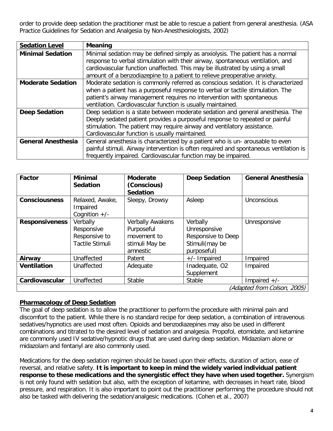order to provide deep sedation the practitioner must be able to rescue a patient from general anesthesia. (ASA Practice Guidelines for Sedation and Analgesia by Non-Anesthesiologists, 2002)

| <b>Sedation Level</b>     | <b>Meaning</b>                                                                        |  |  |
|---------------------------|---------------------------------------------------------------------------------------|--|--|
| <b>Minimal Sedation</b>   | Minimal sedation may be defined simply as anxiolysis. The patient has a normal        |  |  |
|                           | response to verbal stimulation with their airway, spontaneous ventilation, and        |  |  |
|                           | cardiovascular function unaffected. This may be illustrated by using a small          |  |  |
|                           | amount of a benzodiazepine to a patient to relieve preoperative anxiety.              |  |  |
| <b>Moderate Sedation</b>  | Moderate sedation is commonly referred as conscious sedation. It is characterized     |  |  |
|                           | when a patient has a purposeful response to verbal or tactile stimulation. The        |  |  |
|                           | patient's airway management requires no intervention with spontaneous                 |  |  |
|                           | ventilation. Cardiovascular function is usually maintained.                           |  |  |
| <b>Deep Sedation</b>      | Deep sedation is a state between moderate sedation and general anesthesia. The        |  |  |
|                           | Deeply sedated patient provides a purposeful response to repeated or painful          |  |  |
|                           | stimulation. The patient may require airway and ventilatory assistance.               |  |  |
|                           | Cardiovascular function is usually maintained.                                        |  |  |
| <b>General Anesthesia</b> | General anesthesia is characterized by a patient who is un-arousable to even          |  |  |
|                           | painful stimuli. Airway intervention is often required and spontaneous ventilation is |  |  |
|                           | frequently impaired. Cardiovascular function may be impaired.                         |  |  |

| <b>Factor</b>               | <b>Minimal</b><br><b>Sedation</b>                                 | <b>Moderate</b><br>(Conscious)<br><b>Sedation</b>                           | <b>Deep Sedation</b>                                                            | <b>General Anesthesia</b> |
|-----------------------------|-------------------------------------------------------------------|-----------------------------------------------------------------------------|---------------------------------------------------------------------------------|---------------------------|
| <b>Consciousness</b>        | Relaxed, Awake,<br>Impaired<br>Cognition $+/-$                    | Sleepy, Drowsy                                                              | Asleep                                                                          | Unconscious               |
| <b>Responsiveness</b>       | Verbally<br>Responsive<br>Responsive to<br><b>Tactile Stimuli</b> | Verbally Awakens<br>Purposeful<br>movement to<br>stimuli May be<br>amnestic | Verbally<br>Unresponsive<br>Responsive to Deep<br>Stimuli(may be<br>purposeful) | Unresponsive              |
| Airway                      | Unaffected                                                        | Patent                                                                      | $+/-$ Impaired                                                                  | Impaired                  |
| <b>Ventilation</b>          | Unaffected                                                        | Adequate                                                                    | Inadequate, O2<br>Supplement                                                    | Impaired                  |
| Cardiovascular              | Unaffected                                                        | <b>Stable</b>                                                               | Stable                                                                          | Impaired $+/-$            |
| (Adapted from Colson, 2005) |                                                                   |                                                                             |                                                                                 |                           |

#### **Pharmacology of Deep Sedation**

The goal of deep sedation is to allow the practitioner to perform the procedure with minimal pain and discomfort to the patient. While there is no standard recipe for deep sedation, a combination of intravenous sedatives/hypnotics are used most often. Opioids and benzodiazepines may also be used in different combinations and titrated to the desired level of sedation and analgesia. Propofol, etomidate, and ketamine are commonly used IV sedative/hypnotic drugs that are used during deep sedation. Midazolam alone or midazolam and fentanyl are also commonly used.

Medications for the deep sedation regimen should be based upon their effects, duration of action, ease of reversal, and relative safety. **It is important to keep in mind the widely varied individual patient response to these medications and the synergistic effect they have when used together.** Synergism is not only found with sedation but also, with the exception of ketamine, with decreases in heart rate, blood pressure, and respiration. It is also important to point out the practitioner performing the procedure should not also be tasked with delivering the sedation/analgesic medications. (Cohen et al., 2007)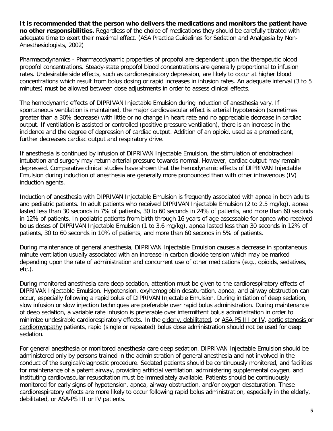**It is recommended that the person who delivers the medications and monitors the patient have no other responsibilities.** Regardless of the choice of medications they should be carefully titrated with adequate time to exert their maximal effect. (ASA Practice Guidelines for Sedation and Analgesia by Non-Anesthesiologists, 2002)

Pharmacodynamics - Pharmacodynamic properties of propofol are dependent upon the therapeutic blood propofol concentrations. Steady-state propofol blood concentrations are generally proportional to infusion rates. Undesirable side effects, such as cardiorespiratory depression, are likely to occur at higher blood concentrations which result from bolus dosing or rapid increases in infusion rates. An adequate interval (3 to 5 minutes) must be allowed between dose adjustments in order to assess clinical effects.

The hemodynamic effects of DIPRIVAN Injectable Emulsion during induction of anesthesia vary. If spontaneous ventilation is maintained, the major cardiovascular effect is arterial hypotension (sometimes greater than a 30% decrease) with little or no change in heart rate and no appreciable decrease in cardiac output. If ventilation is assisted or controlled (positive pressure ventilation), there is an increase in the incidence and the degree of depression of cardiac output. Addition of an opioid, used as a premedicant, further decreases cardiac output and respiratory drive.

If anesthesia is continued by infusion of DIPRIVAN Injectable Emulsion, the stimulation of endotracheal intubation and surgery may return arterial pressure towards normal. However, cardiac output may remain depressed. Comparative clinical studies have shown that the hemodynamic effects of DIPRIVAN Injectable Emulsion during induction of anesthesia are generally more pronounced than with other intravenous (IV) induction agents.

Induction of anesthesia with DIPRIVAN Injectable Emulsion is frequently associated with apnea in both adults and pediatric patients. In adult patients who received DIPRIVAN Injectable Emulsion (2 to 2.5 mg/kg), apnea lasted less than 30 seconds in 7% of patients, 30 to 60 seconds in 24% of patients, and more than 60 seconds in 12% of patients. In pediatric patients from birth through 16 years of age assessable for apnea who received bolus doses of DIPRIVAN Injectable Emulsion (1 to 3.6 mg/kg), apnea lasted less than 30 seconds in 12% of patients, 30 to 60 seconds in 10% of patients, and more than 60 seconds in 5% of patients.

During maintenance of general anesthesia, DIPRIVAN Injectable Emulsion causes a decrease in spontaneous minute ventilation usually associated with an increase in carbon dioxide tension which may be marked depending upon the rate of administration and concurrent use of other medications (e.g., opioids, sedatives, etc.).

During monitored anesthesia care deep sedation, attention must be given to the cardiorespiratory effects of DIPRIVAN Injectable Emulsion. Hypotension, oxyhemoglobin desaturation, apnea, and airway obstruction can occur, especially following a rapid bolus of DIPRIVAN Injectable Emulsion. During initiation of deep sedation, slow infusion or slow injection techniques are preferable over rapid bolus administration. During maintenance of deep sedation, a variable rate infusion is preferable over intermittent bolus administration in order to minimize undesirable cardiorespiratory effects. In the elderly, debilitated, or ASA-PS III or IV, aortic stenosis or cardiomyopathy patients, rapid (single or repeated) bolus dose administration should not be used for deep sedation.

For general anesthesia or monitored anesthesia care deep sedation, DIPRIVAN Injectable Emulsion should be administered only by persons trained in the administration of general anesthesia and not involved in the conduct of the surgical/diagnostic procedure. Sedated patients should be continuously monitored, and facilities for maintenance of a patent airway, providing artificial ventilation, administering supplemental oxygen, and instituting cardiovascular resuscitation must be immediately available. Patients should be continuously monitored for early signs of hypotension, apnea, airway obstruction, and/or oxygen desaturation. These cardiorespiratory effects are more likely to occur following rapid bolus administration, especially in the elderly, debilitated, or ASA-PS III or IV patients.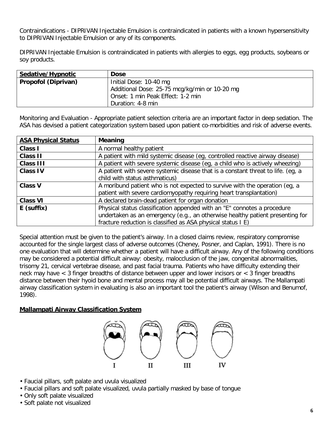Contraindications - DIPRIVAN Injectable Emulsion is contraindicated in patients with a known hypersensitivity to DIPRIVAN Injectable Emulsion or any of its components.

DIPRIVAN Injectable Emulsion is contraindicated in patients with allergies to eggs, egg products, soybeans or soy products.

| Sedative/Hypnotic   | <b>Dose</b>                                   |
|---------------------|-----------------------------------------------|
| Propofol (Diprivan) | Initial Dose: 10-40 mg                        |
|                     | Additional Dose: 25-75 mcg/kg/min or 10-20 mg |
|                     | Onset: 1 min Peak Effect: 1-2 min             |
|                     | Duration: 4-8 min                             |

Monitoring and Evaluation - Appropriate patient selection criteria are an important factor in deep sedation. The ASA has devised a patient categorization system based upon patient co-morbidities and risk of adverse events.

| <b>ASA Physical Status</b> | <b>Meaning</b>                                                                   |  |
|----------------------------|----------------------------------------------------------------------------------|--|
| <b>Class I</b>             | A normal healthy patient                                                         |  |
| <b>Class II</b>            | A patient with mild systemic disease (eq. controlled reactive airway disease)    |  |
| <b>Class III</b>           | A patient with severe systemic disease (eq, a child who is actively wheezing)    |  |
| <b>Class IV</b>            | A patient with severe systemic disease that is a constant threat to life. (eg, a |  |
|                            | child with status asthmaticus)                                                   |  |
| <b>Class V</b>             | A moribund patient who is not expected to survive with the operation (eq, a      |  |
|                            | patient with severe cardiomyopathy requiring heart transplantation)              |  |
| <b>Class VI</b>            | A declared brain-dead patient for organ donation                                 |  |
| E (suffix)                 | Physical status classification appended with an "E" connotes a procedure         |  |
|                            | undertaken as an emergency (e.g., an otherwise healthy patient presenting for    |  |
|                            | fracture reduction is classified as ASA physical status I E)                     |  |

Special attention must be given to the patient's airway. In a closed claims review, respiratory compromise accounted for the single largest class of adverse outcomes (Cheney, Posner, and Caplan, 1991). There is no one evaluation that will determine whether a patient will have a difficult airway. Any of the following conditions may be considered a potential difficult airway: obesity, malocclusion of the jaw, congenital abnormalities, trisomy 21, cervical vertebrae disease, and past facial trauma. Patients who have difficulty extending their neck may have < 3 finger breadths of distance between upper and lower incisors or < 3 finger breadths distance between their hyoid bone and mental process may all be potential difficult airways. The Mallampati airway classification system in evaluating is also an important tool the patient's airway (Wilson and Benumof, 1998).

#### **Mallampati Airway Classification System**



- Faucial pillars, soft palate and uvula visualized
- Faucial pillars and soft palate visualized, uvula partially masked by base of tongue
- Only soft palate visualized
- Soft palate not visualized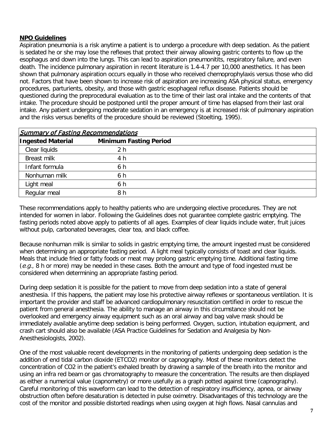#### **NPO Guidelines**

Aspiration pneumonia is a risk anytime a patient is to undergo a procedure with deep sedation. As the patient is sedated he or she may lose the reflexes that protect their airway allowing gastric contents to flow up the esophagus and down into the lungs. This can lead to aspiration pneumonitits, respiratory failure, and even death. The incidence pulmonary aspiration in recent literature is 1.4-4.7 per 10,000 anesthetics. It has been shown that pulmonary aspiration occurs equally in those who received chemoprophylaxis versus those who did not. Factors that have been shown to increase risk of aspiration are increasing ASA physical status, emergency procedures, parturients, obesity, and those with gastric esophageal reflux disease. Patients should be questioned during the preprocedural evaluation as to the time of their last oral intake and the contents of that intake. The procedure should be postponed until the proper amount of time has elapsed from their last oral intake. Any patient undergoing moderate sedation in an emergency is at increased risk of pulmonary aspiration and the risks versus benefits of the procedure should be reviewed (Stoelting, 1995).

| <b>Summary of Fasting Recommendations</b> |                               |  |
|-------------------------------------------|-------------------------------|--|
| <b>Ingested Material</b>                  | <b>Minimum Fasting Period</b> |  |
| Clear liquids                             | 2 h                           |  |
| Breast milk                               | 4 h                           |  |
| Infant formula                            | 6 h                           |  |
| Nonhuman milk                             | 6 h                           |  |
| Light meal                                | 6 h                           |  |
| Regular meal                              | 8 h                           |  |

These recommendations apply to healthy patients who are undergoing elective procedures. They are not intended for women in labor. Following the Guidelines does not guarantee complete gastric emptying. The fasting periods noted above apply to patients of all ages. Examples of clear liquids include water, fruit juices without pulp, carbonated beverages, clear tea, and black coffee.

Because nonhuman milk is similar to solids in gastric emptying time, the amount ingested must be considered when determining an appropriate fasting period. A light meal typically consists of toast and clear liquids. Meals that include fried or fatty foods or meat may prolong gastric emptying time. Additional fasting time  $(e.g., 8 h or more)$  may be needed in these cases. Both the amount and type of food ingested must be considered when determining an appropriate fasting period.

During deep sedation it is possible for the patient to move from deep sedation into a state of general anesthesia. If this happens, the patient may lose his protective airway reflexes or spontaneous ventilation. It is important the provider and staff be advanced cardiopulmonary resuscitation certified in order to rescue the patient from general anesthesia. The ability to manage an airway in this circumstance should not be overlooked and emergency airway equipment such as an oral airway and bag valve mask should be immediately available anytime deep sedation is being performed. Oxygen, suction, intubation equipment, and crash cart should also be available (ASA Practice Guidelines for Sedation and Analgesia by Non-Anesthesiologists, 2002).

One of the most valuable recent developments in the monitoring of patients undergoing deep sedation is the addition of end tidal carbon dioxide (ETCO2) monitor or capnography. Most of these monitors detect the concentration of CO2 in the patient's exhaled breath by drawing a sample of the breath into the monitor and using an infra red beam or gas chromatography to measure the concentration. The results are then displayed as either a numerical value (capnometry) or more usefully as a graph potted against time (capnography). Careful monitoring of this waveform can lead to the detection of respiratory insufficiency, apnea, or airway obstruction often before desaturation is detected in pulse oximetry. Disadvantages of this technology are the cost of the monitor and possible distorted readings when using oxygen at high flows. Nasal cannulas and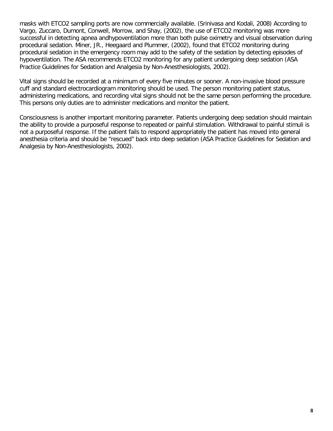masks with ETCO2 sampling ports are now commercially available. (Srinivasa and Kodali, 2008) According to Vargo, Zuccaro, Dumont, Conwell, Morrow, and Shay, (2002), the use of ETCO2 monitoring was more successful in detecting apnea andhypoventilation more than both pulse oximetry and visual observation during procedural sedation. Miner, JR., Heegaard and Plummer, (2002), found that ETCO2 monitoring during procedural sedation in the emergency room may add to the safety of the sedation by detecting episodes of hypoventilation. The ASA recommends ETCO2 monitoring for any patient undergoing deep sedation (ASA Practice Guidelines for Sedation and Analgesia by Non-Anesthesiologists, 2002).

Vital signs should be recorded at a minimum of every five minutes or sooner. A non-invasive blood pressure cuff and standard electrocardiogram monitoring should be used. The person monitoring patient status, administering medications, and recording vital signs should not be the same person performing the procedure. This persons only duties are to administer medications and monitor the patient.

Consciousness is another important monitoring parameter. Patients undergoing deep sedation should maintain the ability to provide a purposeful response to repeated or painful stimulation. Withdrawal to painful stimuli is not a purposeful response. If the patient fails to respond appropriately the patient has moved into general anesthesia criteria and should be "rescued" back into deep sedation (ASA Practice Guidelines for Sedation and Analgesia by Non-Anesthesiologists, 2002).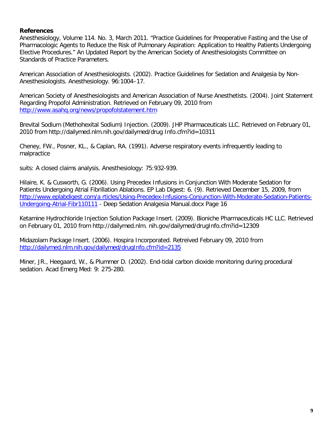#### **References**

Anesthesiology, Volume 114. No. 3, March 2011. "Practice Guidelines for Preoperative Fasting and the Use of Pharmacologic Agents to Reduce the Risk of Pulmonary Aspiration: Application to Healthy Patients Undergoing Elective Procedures." An Updated Report by the American Society of Anesthesiologists Committee on Standards of Practice Parameters.

American Association of Anesthesiologists. (2002). Practice Guidelines for Sedation and Analgesia by Non-Anesthesiologists. Anesthesiology. 96:1004–17.

American Society of Anesthesiologists and American Association of Nurse Anesthetists. (2004). Joint Statement Regarding Propofol Administration. Retrieved on February 09, 2010 from <http://www.asahq.org/news/propofolstatement.htm>

Brevital Sodium (Methohexital Sodium) Injection. (2009). JHP Pharmaceuticals LLC. Retrieved on February 01, 2010 from http://dailymed.nlm.nih.gov/dailymed/drug Info.cfm?id=10311

Cheney, FW., Posner, KL., & Caplan, RA. (1991). Adverse respiratory events infrequently leading to malpractice

suits: A closed claims analysis. Anesthesiology: 75:932-939.

Hilaire, K. & Cusworth, G. (2006). Using Precedex Infusions in Conjunction With Moderate Sedation for Patients Undergoing Atrial Fibrillation Ablations. EP Lab Digest: 6. (9). Retrieved December 15, 2009, from [http://www.eplabdigest.com/a rticles/Using-Precedex-Infusions-Conjunction-With-Moderate-Sedation-Patients-](http://www.eplabdigest.com/a%20rticles/Using-Precedex-Infusions-Conjunction-With-Moderate-Sedation-Patients-%20Undergoing-Atrial-Fibr110111)[Undergoing-Atrial-Fibr110111](http://www.eplabdigest.com/a%20rticles/Using-Precedex-Infusions-Conjunction-With-Moderate-Sedation-Patients-%20Undergoing-Atrial-Fibr110111) - Deep Sedation Analgesia Manual.docx Page 16

Ketamine Hydrochloride Injection Solution Package Insert. (2009). Bioniche Pharmaceuticals HC LLC. Retrieved on February 01, 2010 from http://dailymed.nlm. nih.gov/dailymed/drugInfo.cfm?id=12309

Midazolam Package Insert. (2006). Hospira Incorporated. Retreived February 09, 2010 from <http://dailymed.nlm.nih.gov/dailymed/drugInfo.cfm?id=2135>

Miner, JR., Heegaard, W., & Plummer D. (2002). End-tidal carbon dioxide monitoring during procedural sedation. Acad Emerg Med: 9: 275-280.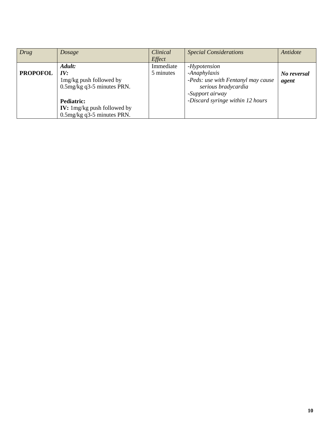| Drug            | Dosage                        | Clinical      | <b>Special Considerations</b>      | Antidote    |
|-----------------|-------------------------------|---------------|------------------------------------|-------------|
|                 |                               | <b>Effect</b> |                                    |             |
|                 | Adult:                        | Immediate     | -Hypotension                       |             |
| <b>PROPOFOL</b> | IV:                           | 5 minutes     | -Anaphylaxis                       | No reversal |
|                 | lmg/kg push followed by       |               | -Peds: use with Fentanyl may cause | agent       |
|                 | 0.5mg/kg q3-5 minutes PRN.    |               | serious bradycardia                |             |
|                 |                               |               | -Support airway                    |             |
|                 | <b>Pediatric:</b>             |               | -Discard syringe within 12 hours   |             |
|                 | IV: $1mg/kg$ push followed by |               |                                    |             |
|                 | 0.5mg/kg q3-5 minutes PRN.    |               |                                    |             |